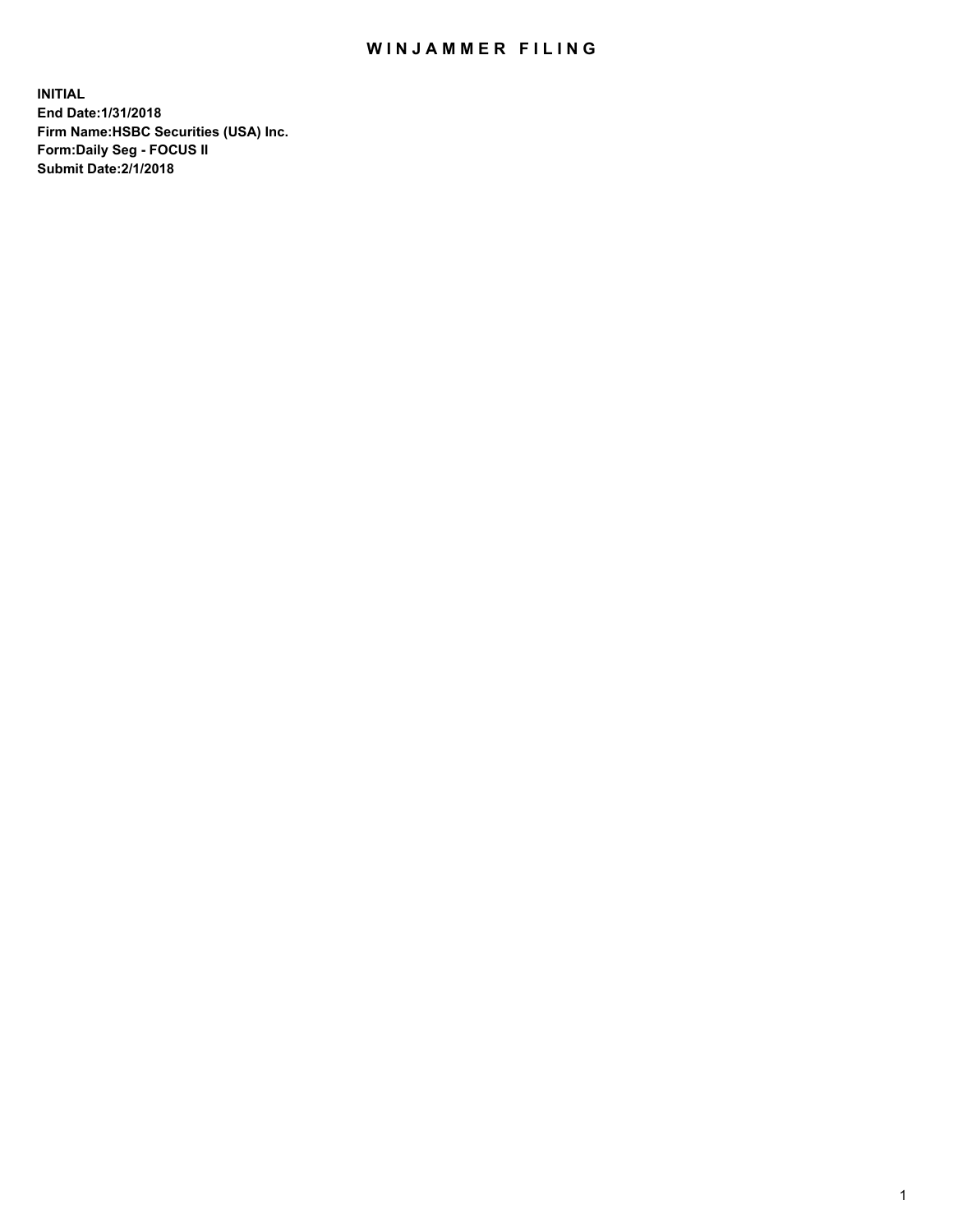## WIN JAMMER FILING

**INITIAL End Date:1/31/2018 Firm Name:HSBC Securities (USA) Inc. Form:Daily Seg - FOCUS II Submit Date:2/1/2018**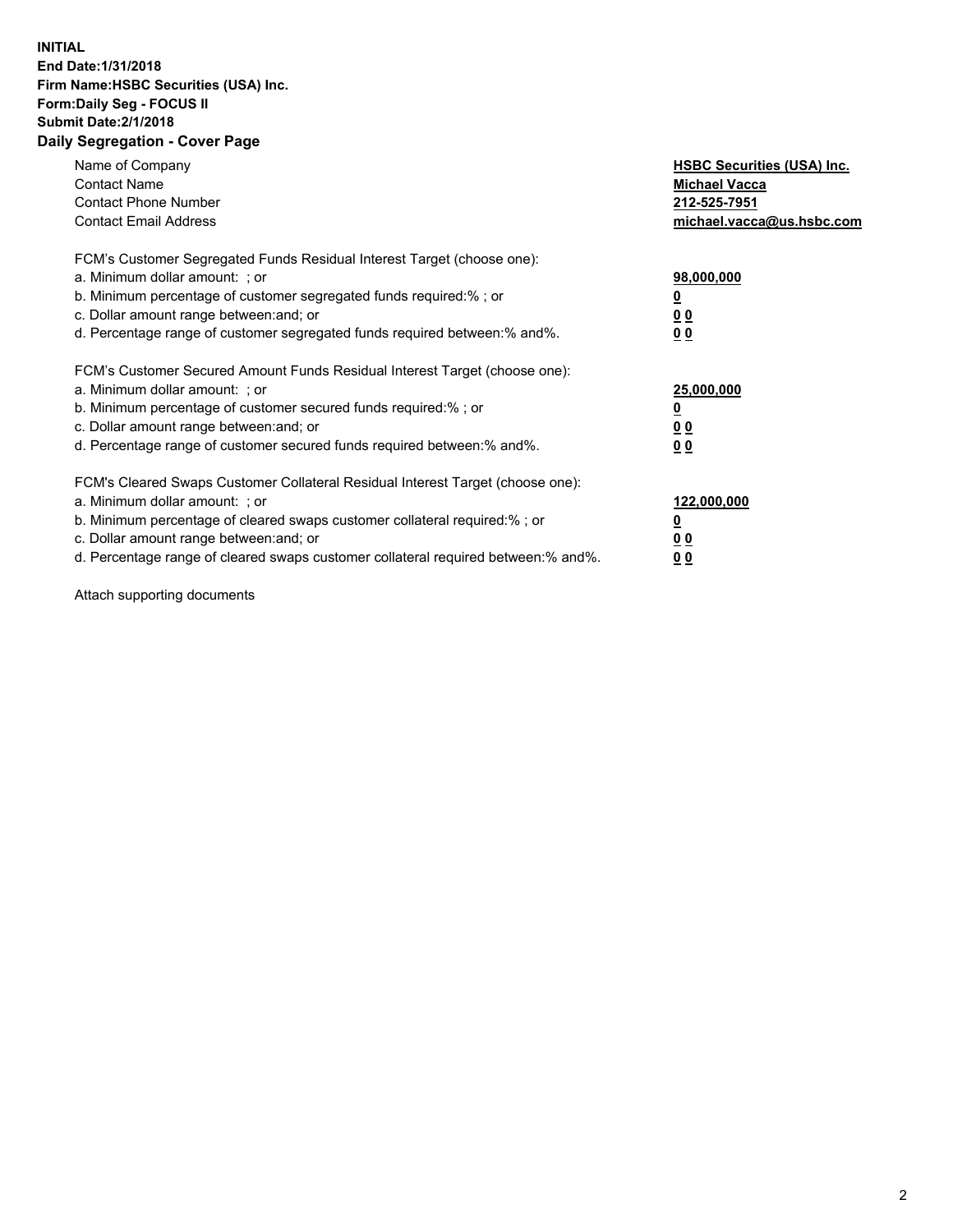## **INITIAL End Date:1/31/2018 Firm Name:HSBC Securities (USA) Inc. Form:Daily Seg - FOCUS II Submit Date:2/1/2018 Daily Segregation - Cover Page**

| Name of Company<br><b>Contact Name</b><br><b>Contact Phone Number</b><br><b>Contact Email Address</b>                                                                                                                                                                                                                         | <b>HSBC Securities (USA) Inc.</b><br><b>Michael Vacca</b><br>212-525-7951<br>michael.vacca@us.hsbc.com |
|-------------------------------------------------------------------------------------------------------------------------------------------------------------------------------------------------------------------------------------------------------------------------------------------------------------------------------|--------------------------------------------------------------------------------------------------------|
| FCM's Customer Segregated Funds Residual Interest Target (choose one):<br>a. Minimum dollar amount: ; or<br>b. Minimum percentage of customer segregated funds required:%; or<br>c. Dollar amount range between: and; or<br>d. Percentage range of customer segregated funds required between: % and %.                       | 98,000,000<br><u>0</u><br><u>00</u><br><u>00</u>                                                       |
| FCM's Customer Secured Amount Funds Residual Interest Target (choose one):<br>a. Minimum dollar amount: ; or<br>b. Minimum percentage of customer secured funds required:%; or<br>c. Dollar amount range between: and; or<br>d. Percentage range of customer secured funds required between: % and %.                         | 25,000,000<br><u>0</u><br><u>00</u><br>00                                                              |
| FCM's Cleared Swaps Customer Collateral Residual Interest Target (choose one):<br>a. Minimum dollar amount: ; or<br>b. Minimum percentage of cleared swaps customer collateral required:%; or<br>c. Dollar amount range between: and; or<br>d. Percentage range of cleared swaps customer collateral required between:% and%. | 122,000,000<br><u>0</u><br><u>00</u><br><u>00</u>                                                      |

Attach supporting documents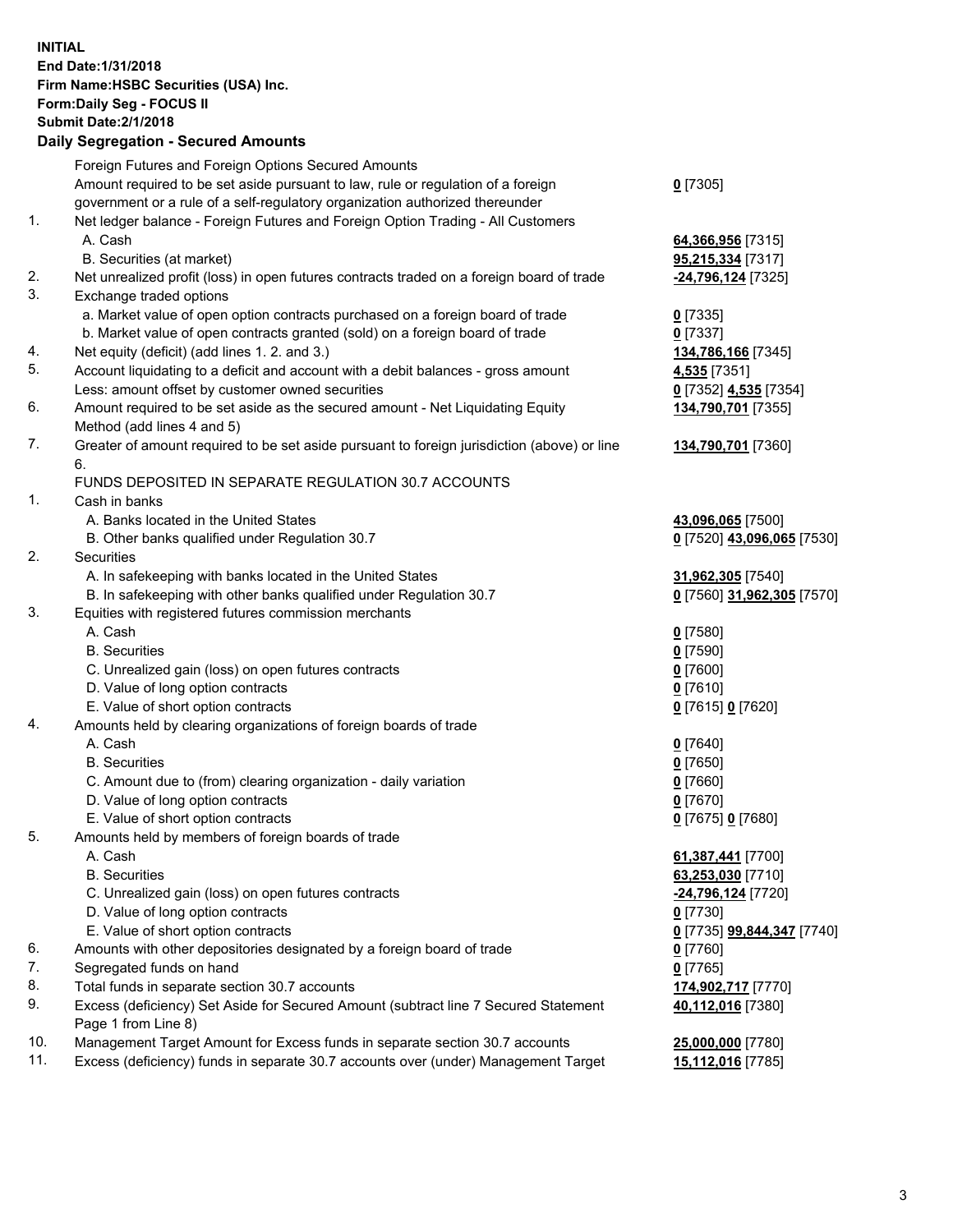**INITIAL End Date:1/31/2018 Firm Name:HSBC Securities (USA) Inc. Form:Daily Seg - FOCUS II Submit Date:2/1/2018 Daily Segregation - Secured Amounts** Foreign Futures and Foreign Options Secured Amounts Amount required to be set aside pursuant to law, rule or regulation of a foreign government or a rule of a self-regulatory organization authorized thereunder **0** [7305] 1. Net ledger balance - Foreign Futures and Foreign Option Trading - All Customers A. Cash **64,366,956** [7315] B. Securities (at market) **95,215,334** [7317] 2. Net unrealized profit (loss) in open futures contracts traded on a foreign board of trade **-24,796,124** [7325] 3. Exchange traded options a. Market value of open option contracts purchased on a foreign board of trade **0** [7335] b. Market value of open contracts granted (sold) on a foreign board of trade **0** [7337] 4. Net equity (deficit) (add lines 1. 2. and 3.) **134,786,166** [7345] 5. Account liquidating to a deficit and account with a debit balances - gross amount **4,535** [7351] Less: amount offset by customer owned securities **0** [7352] **4,535** [7354] 6. Amount required to be set aside as the secured amount - Net Liquidating Equity Method (add lines 4 and 5) **134,790,701** [7355] 7. Greater of amount required to be set aside pursuant to foreign jurisdiction (above) or line 6. **134,790,701** [7360] FUNDS DEPOSITED IN SEPARATE REGULATION 30.7 ACCOUNTS 1. Cash in banks A. Banks located in the United States **43,096,065** [7500] B. Other banks qualified under Regulation 30.7 **0** [7520] **43,096,065** [7530] 2. Securities A. In safekeeping with banks located in the United States **31,962,305** [7540] B. In safekeeping with other banks qualified under Regulation 30.7 **0** [7560] **31,962,305** [7570] 3. Equities with registered futures commission merchants A. Cash **0** [7580] B. Securities **0** [7590] C. Unrealized gain (loss) on open futures contracts **0** [7600] D. Value of long option contracts **0** [7610] E. Value of short option contracts **0** [7615] **0** [7620] 4. Amounts held by clearing organizations of foreign boards of trade A. Cash **0** [7640] B. Securities **0** [7650] C. Amount due to (from) clearing organization - daily variation **0** [7660] D. Value of long option contracts **0** [7670] E. Value of short option contracts **0** [7675] **0** [7680] 5. Amounts held by members of foreign boards of trade A. Cash **61,387,441** [7700] B. Securities **63,253,030** [7710] C. Unrealized gain (loss) on open futures contracts **-24,796,124** [7720] D. Value of long option contracts **0** [7730] E. Value of short option contracts **0** [7735] **99,844,347** [7740] 6. Amounts with other depositories designated by a foreign board of trade **0** [7760] 7. Segregated funds on hand **0** [7765] 8. Total funds in separate section 30.7 accounts **174,902,717** [7770] 9. Excess (deficiency) Set Aside for Secured Amount (subtract line 7 Secured Statement Page 1 from Line 8) **40,112,016** [7380]

10. Management Target Amount for Excess funds in separate section 30.7 accounts **25,000,000** [7780]

11. Excess (deficiency) funds in separate 30.7 accounts over (under) Management Target **15,112,016** [7785]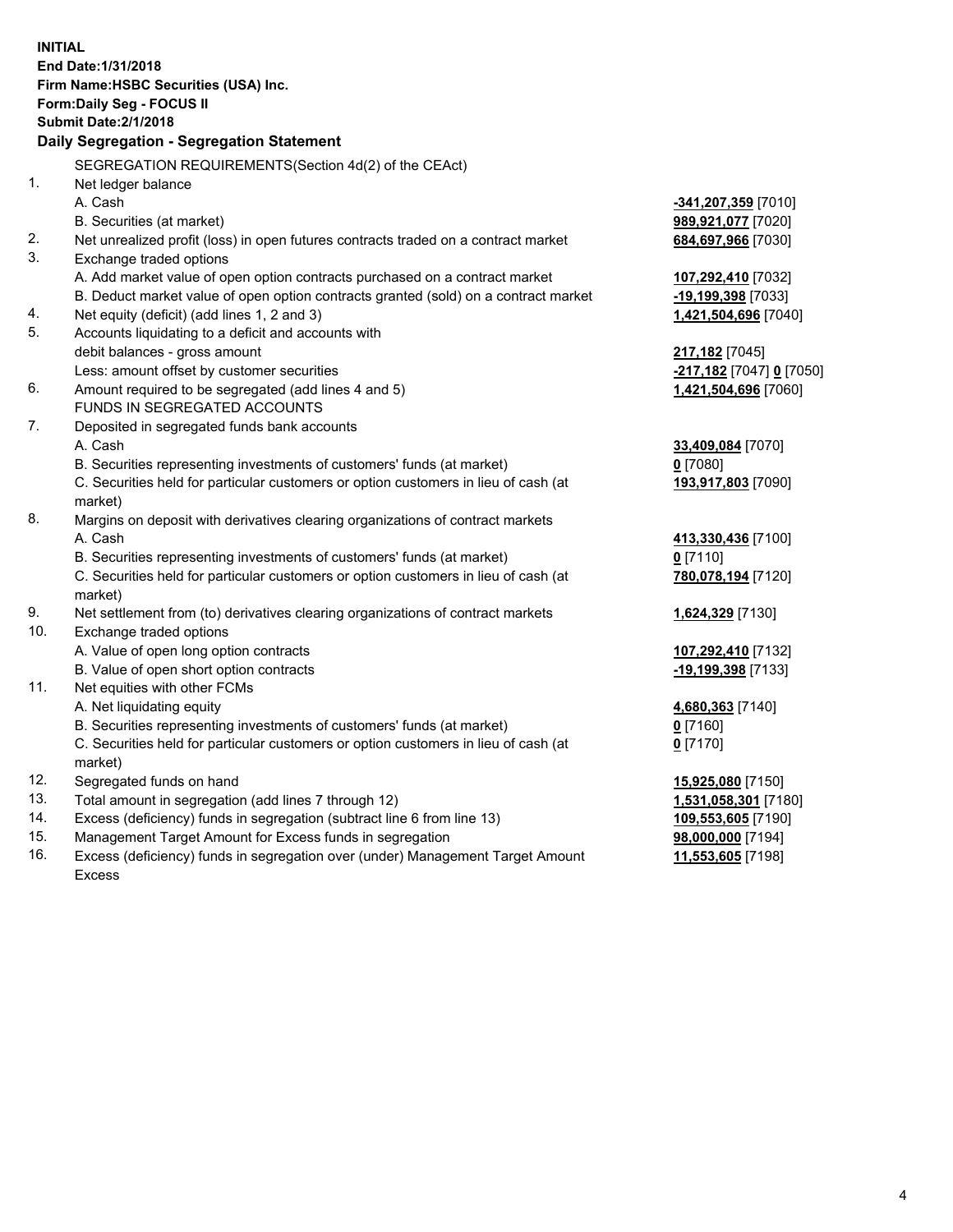| <b>INITIAL</b> | End Date: 1/31/2018<br>Firm Name: HSBC Securities (USA) Inc.<br><b>Form:Daily Seg - FOCUS II</b><br><b>Submit Date: 2/1/2018</b><br>Daily Segregation - Segregation Statement |                            |
|----------------|-------------------------------------------------------------------------------------------------------------------------------------------------------------------------------|----------------------------|
|                |                                                                                                                                                                               |                            |
| 1 <sub>1</sub> | SEGREGATION REQUIREMENTS(Section 4d(2) of the CEAct)                                                                                                                          |                            |
|                | Net ledger balance<br>A. Cash                                                                                                                                                 |                            |
|                |                                                                                                                                                                               | <u>-341,207,359</u> [7010] |
|                | B. Securities (at market)                                                                                                                                                     | 989,921,077 [7020]         |
| 2.<br>3.       | Net unrealized profit (loss) in open futures contracts traded on a contract market                                                                                            | 684,697,966 [7030]         |
|                | Exchange traded options                                                                                                                                                       |                            |
|                | A. Add market value of open option contracts purchased on a contract market                                                                                                   | 107,292,410 [7032]         |
| 4.             | B. Deduct market value of open option contracts granted (sold) on a contract market                                                                                           | <u>-19,199,398</u> [7033]  |
| 5.             | Net equity (deficit) (add lines 1, 2 and 3)<br>Accounts liquidating to a deficit and accounts with                                                                            | 1,421,504,696 [7040]       |
|                | debit balances - gross amount                                                                                                                                                 | 217,182 [7045]             |
|                | Less: amount offset by customer securities                                                                                                                                    | -217,182 [7047] 0 [7050]   |
| 6.             | Amount required to be segregated (add lines 4 and 5)                                                                                                                          | 1,421,504,696 [7060]       |
|                | FUNDS IN SEGREGATED ACCOUNTS                                                                                                                                                  |                            |
| 7.             | Deposited in segregated funds bank accounts                                                                                                                                   |                            |
|                | A. Cash                                                                                                                                                                       | 33,409,084 [7070]          |
|                | B. Securities representing investments of customers' funds (at market)                                                                                                        | $0$ [7080]                 |
|                | C. Securities held for particular customers or option customers in lieu of cash (at                                                                                           | 193,917,803 [7090]         |
|                | market)                                                                                                                                                                       |                            |
| 8.             | Margins on deposit with derivatives clearing organizations of contract markets                                                                                                |                            |
|                | A. Cash                                                                                                                                                                       | 413,330,436 [7100]         |
|                | B. Securities representing investments of customers' funds (at market)                                                                                                        | $0$ [7110]                 |
|                | C. Securities held for particular customers or option customers in lieu of cash (at                                                                                           | 780,078,194 [7120]         |
|                | market)                                                                                                                                                                       |                            |
| 9.             | Net settlement from (to) derivatives clearing organizations of contract markets                                                                                               | 1,624,329 [7130]           |
| 10.            | Exchange traded options                                                                                                                                                       |                            |
|                | A. Value of open long option contracts                                                                                                                                        | 107,292,410 [7132]         |
|                | B. Value of open short option contracts                                                                                                                                       | -19,199,398 [7133]         |
| 11.            | Net equities with other FCMs                                                                                                                                                  |                            |
|                | A. Net liquidating equity                                                                                                                                                     | 4,680,363 [7140]           |
|                | B. Securities representing investments of customers' funds (at market)                                                                                                        | $0$ [7160]                 |
|                | C. Securities held for particular customers or option customers in lieu of cash (at                                                                                           | $0$ [7170]                 |
|                | market)                                                                                                                                                                       |                            |
| 12.            | Segregated funds on hand                                                                                                                                                      | 15,925,080 [7150]          |
| 13.            | Total amount in segregation (add lines 7 through 12)                                                                                                                          | 1,531,058,301 [7180]       |
| 14.            | Excess (deficiency) funds in segregation (subtract line 6 from line 13)                                                                                                       | 109,553,605 [7190]         |
| 15.            | Management Target Amount for Excess funds in segregation                                                                                                                      | 98,000,000 [7194]          |

16. Excess (deficiency) funds in segregation over (under) Management Target Amount Excess

**<u>98,000,000</u> [7194]**<br><mark>11,553,605</mark> [7198]